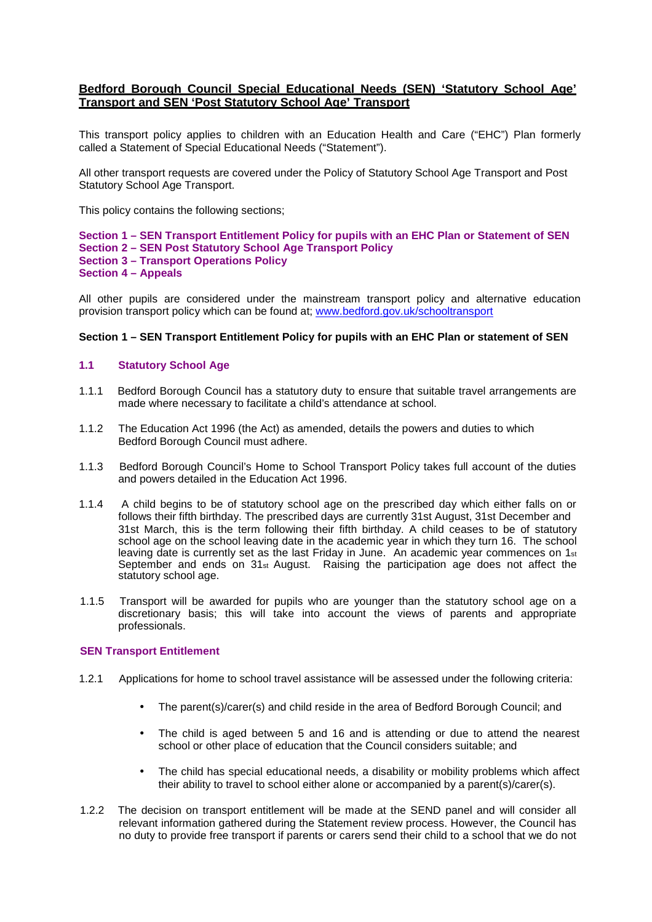# **Bedford Borough Council Special Educational Needs (SEN) 'Statutory School Age' Transport and SEN 'Post Statutory School Age' Transport**

This transport policy applies to children with an Education Health and Care ("EHC") Plan formerly called a Statement of Special Educational Needs ("Statement").

All other transport requests are covered under the Policy of Statutory School Age Transport and Post Statutory School Age Transport.

This policy contains the following sections;

**Section 1 – SEN Transport Entitlement Policy for pupils with an EHC Plan or Statement of SEN Section 2 – SEN Post Statutory School Age Transport Policy Section 3 – Transport Operations Policy Section 4 – Appeals**

All other pupils are considered under the mainstream transport policy and alternative education provision transport policy which can be found at; www.bedford.gov.uk/schooltransport

## **Section 1 – SEN Transport Entitlement Policy for pupils with an EHC Plan or statement of SEN**

## **1.1 Statutory School Age**

- 1.1.1 Bedford Borough Council has a statutory duty to ensure that suitable travel arrangements are made where necessary to facilitate a child's attendance at school.
- 1.1.2 The Education Act 1996 (the Act) as amended, details the powers and duties to which Bedford Borough Council must adhere.
- 1.1.3 Bedford Borough Council's Home to School Transport Policy takes full account of the duties and powers detailed in the Education Act 1996.
- 1.1.4 A child begins to be of statutory school age on the prescribed day which either falls on or follows their fifth birthday. The prescribed days are currently 31st August, 31st December and 31st March, this is the term following their fifth birthday. A child ceases to be of statutory school age on the school leaving date in the academic year in which they turn 16. The school leaving date is currently set as the last Friday in June. An academic year commences on  $1_{st}$ September and ends on 31st August. Raising the participation age does not affect the statutory school age.
- 1.1.5 Transport will be awarded for pupils who are younger than the statutory school age on a discretionary basis; this will take into account the views of parents and appropriate professionals.

## **SEN Transport Entitlement**

- 1.2.1 Applications for home to school travel assistance will be assessed under the following criteria:
	- The parent(s)/carer(s) and child reside in the area of Bedford Borough Council; and
	- The child is aged between 5 and 16 and is attending or due to attend the nearest school or other place of education that the Council considers suitable; and
	- The child has special educational needs, a disability or mobility problems which affect their ability to travel to school either alone or accompanied by a parent(s)/carer(s).
- 1.2.2 The decision on transport entitlement will be made at the SEND panel and will consider all relevant information gathered during the Statement review process. However, the Council has no duty to provide free transport if parents or carers send their child to a school that we do not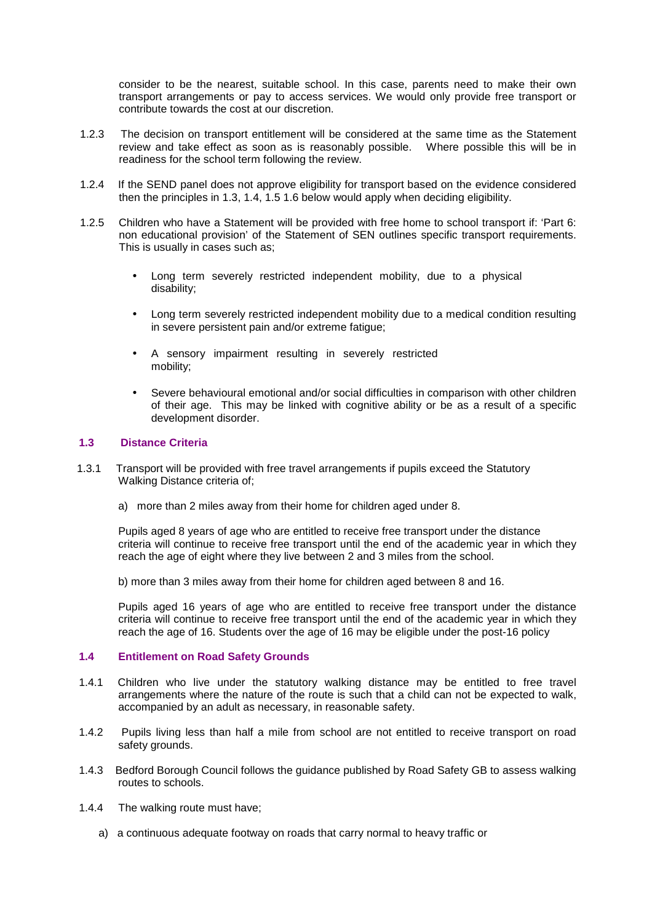consider to be the nearest, suitable school. In this case, parents need to make their own transport arrangements or pay to access services. We would only provide free transport or contribute towards the cost at our discretion.

- 1.2.3 The decision on transport entitlement will be considered at the same time as the Statement review and take effect as soon as is reasonably possible. Where possible this will be in readiness for the school term following the review.
- 1.2.4 If the SEND panel does not approve eligibility for transport based on the evidence considered then the principles in 1.3, 1.4, 1.5 1.6 below would apply when deciding eligibility.
- 1.2.5 Children who have a Statement will be provided with free home to school transport if: 'Part 6: non educational provision' of the Statement of SEN outlines specific transport requirements. This is usually in cases such as;
	- Long term severely restricted independent mobility, due to a physical disability;
	- Long term severely restricted independent mobility due to a medical condition resulting in severe persistent pain and/or extreme fatigue;
	- A sensory impairment resulting in severely restricted mobility;
	- Severe behavioural emotional and/or social difficulties in comparison with other children of their age. This may be linked with cognitive ability or be as a result of a specific development disorder.

## **1.3 Distance Criteria**

- 1.3.1 Transport will be provided with free travel arrangements if pupils exceed the Statutory Walking Distance criteria of;
	- a) more than 2 miles away from their home for children aged under 8.

Pupils aged 8 years of age who are entitled to receive free transport under the distance criteria will continue to receive free transport until the end of the academic year in which they reach the age of eight where they live between 2 and 3 miles from the school.

b) more than 3 miles away from their home for children aged between 8 and 16.

Pupils aged 16 years of age who are entitled to receive free transport under the distance criteria will continue to receive free transport until the end of the academic year in which they reach the age of 16. Students over the age of 16 may be eligible under the post-16 policy

## **1.4 Entitlement on Road Safety Grounds**

- 1.4.1 Children who live under the statutory walking distance may be entitled to free travel arrangements where the nature of the route is such that a child can not be expected to walk, accompanied by an adult as necessary, in reasonable safety.
- 1.4.2 Pupils living less than half a mile from school are not entitled to receive transport on road safety grounds.
- 1.4.3 Bedford Borough Council follows the guidance published by Road Safety GB to assess walking routes to schools.
- 1.4.4 The walking route must have;
	- a) a continuous adequate footway on roads that carry normal to heavy traffic or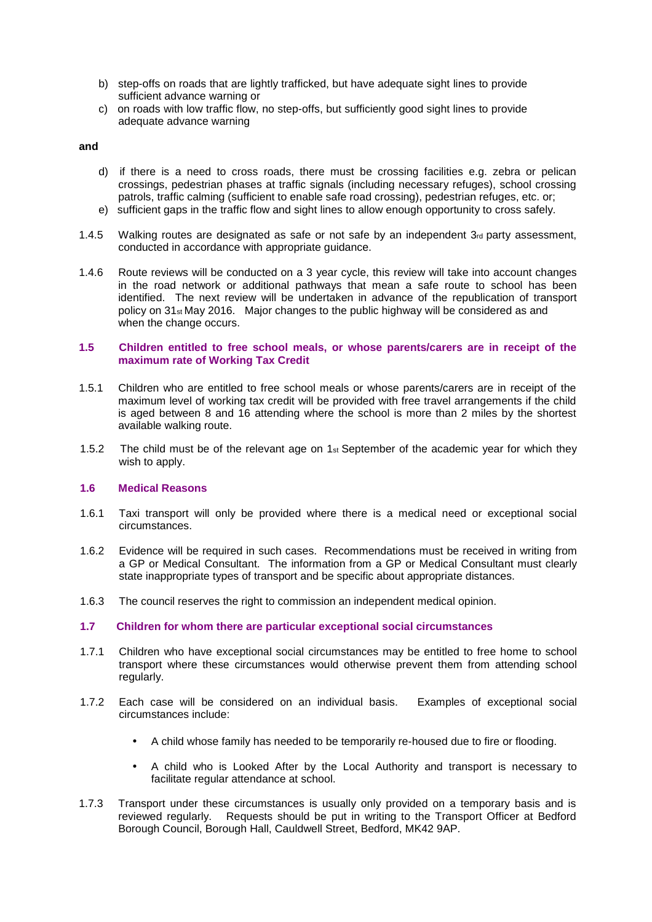- b) step-offs on roads that are lightly trafficked, but have adequate sight lines to provide sufficient advance warning or
- c) on roads with low traffic flow, no step-offs, but sufficiently good sight lines to provide adequate advance warning

#### **and**

- d) if there is a need to cross roads, there must be crossing facilities e.g. zebra or pelican crossings, pedestrian phases at traffic signals (including necessary refuges), school crossing patrols, traffic calming (sufficient to enable safe road crossing), pedestrian refuges, etc. or;
- e) sufficient gaps in the traffic flow and sight lines to allow enough opportunity to cross safely.
- 1.4.5 Walking routes are designated as safe or not safe by an independent  $3<sub>rd</sub>$  party assessment, conducted in accordance with appropriate guidance.
- 1.4.6 Route reviews will be conducted on a 3 year cycle, this review will take into account changes in the road network or additional pathways that mean a safe route to school has been identified. The next review will be undertaken in advance of the republication of transport policy on  $31<sub>st</sub>$  May 2016. Major changes to the public highway will be considered as and when the change occurs.

#### **1.5 Children entitled to free school meals, or whose parents/carers are in receipt of the maximum rate of Working Tax Credit**

- 1.5.1 Children who are entitled to free school meals or whose parents/carers are in receipt of the maximum level of working tax credit will be provided with free travel arrangements if the child is aged between 8 and 16 attending where the school is more than 2 miles by the shortest available walking route.
- 1.5.2 The child must be of the relevant age on 1st September of the academic year for which they wish to apply.

## **1.6 Medical Reasons**

- 1.6.1 Taxi transport will only be provided where there is a medical need or exceptional social circumstances.
- 1.6.2 Evidence will be required in such cases. Recommendations must be received in writing from a GP or Medical Consultant. The information from a GP or Medical Consultant must clearly state inappropriate types of transport and be specific about appropriate distances.
- 1.6.3 The council reserves the right to commission an independent medical opinion.
- **1.7 Children for whom there are particular exceptional social circumstances**
- 1.7.1 Children who have exceptional social circumstances may be entitled to free home to school transport where these circumstances would otherwise prevent them from attending school regularly.
- 1.7.2 Each case will be considered on an individual basis. Examples of exceptional social circumstances include:
	- A child whose family has needed to be temporarily re-housed due to fire or flooding.
	- A child who is Looked After by the Local Authority and transport is necessary to facilitate regular attendance at school.
- 1.7.3 Transport under these circumstances is usually only provided on a temporary basis and is reviewed regularly. Requests should be put in writing to the Transport Officer at Bedford Borough Council, Borough Hall, Cauldwell Street, Bedford, MK42 9AP.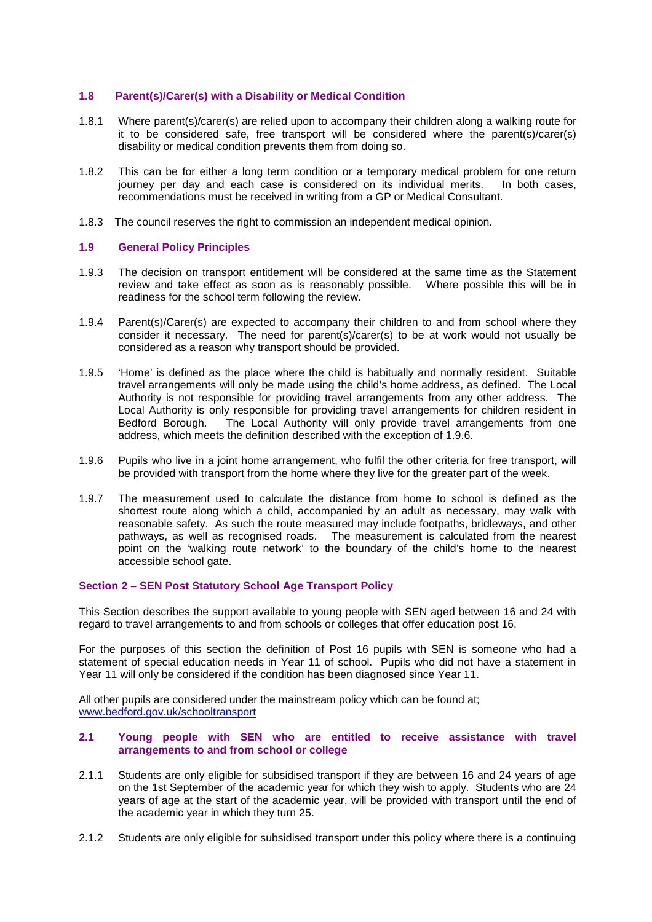## **1.8 Parent(s)/Carer(s) with a Disability or Medical Condition**

- 1.8.1 Where parent(s)/carer(s) are relied upon to accompany their children along a walking route for it to be considered safe, free transport will be considered where the parent(s)/carer(s) disability or medical condition prevents them from doing so.
- 1.8.2 This can be for either a long term condition or a temporary medical problem for one return journey per day and each case is considered on its individual merits. In both cases, recommendations must be received in writing from a GP or Medical Consultant.
- 1.8.3 The council reserves the right to commission an independent medical opinion.

## **1.9 General Policy Principles**

- 1.9.3 The decision on transport entitlement will be considered at the same time as the Statement review and take effect as soon as is reasonably possible. Where possible this will be in readiness for the school term following the review.
- 1.9.4 Parent(s)/Carer(s) are expected to accompany their children to and from school where they consider it necessary. The need for parent(s)/carer(s) to be at work would not usually be considered as a reason why transport should be provided.
- 1.9.5 'Home' is defined as the place where the child is habitually and normally resident. Suitable travel arrangements will only be made using the child's home address, as defined. The Local Authority is not responsible for providing travel arrangements from any other address. The Local Authority is only responsible for providing travel arrangements for children resident in Bedford Borough. The Local Authority will only provide travel arrangements from one address, which meets the definition described with the exception of 1.9.6.
- 1.9.6 Pupils who live in a joint home arrangement, who fulfil the other criteria for free transport, will be provided with transport from the home where they live for the greater part of the week.
- 1.9.7 The measurement used to calculate the distance from home to school is defined as the shortest route along which a child, accompanied by an adult as necessary, may walk with reasonable safety. As such the route measured may include footpaths, bridleways, and other pathways, as well as recognised roads. The measurement is calculated from the nearest point on the 'walking route network' to the boundary of the child's home to the nearest accessible school gate.

## **Section 2 – SEN Post Statutory School Age Transport Policy**

This Section describes the support available to young people with SEN aged between 16 and 24 with regard to travel arrangements to and from schools or colleges that offer education post 16.

For the purposes of this section the definition of Post 16 pupils with SEN is someone who had a statement of special education needs in Year 11 of school. Pupils who did not have a statement in Year 11 will only be considered if the condition has been diagnosed since Year 11.

All other pupils are considered under the mainstream policy which can be found at; www.bedford.gov.uk/schooltransport

## **2.1 Young people with SEN who are entitled to receive assistance with travel arrangements to and from school or college**

- 2.1.1 Students are only eligible for subsidised transport if they are between 16 and 24 years of age on the 1st September of the academic year for which they wish to apply. Students who are 24 years of age at the start of the academic year, will be provided with transport until the end of the academic year in which they turn 25.
- 2.1.2 Students are only eligible for subsidised transport under this policy where there is a continuing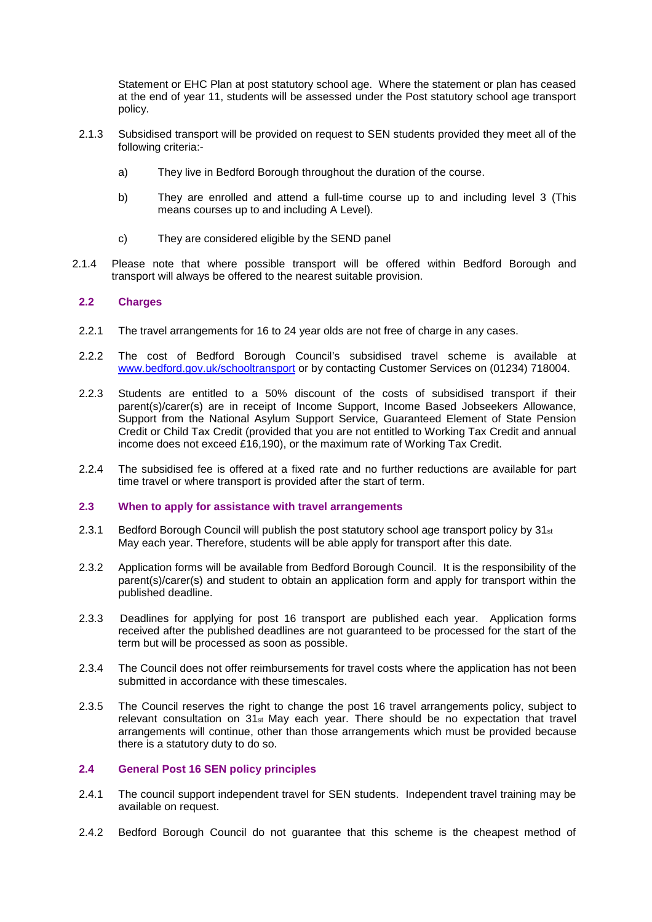Statement or EHC Plan at post statutory school age. Where the statement or plan has ceased at the end of year 11, students will be assessed under the Post statutory school age transport policy.

- 2.1.3 Subsidised transport will be provided on request to SEN students provided they meet all of the following criteria:
	- a) They live in Bedford Borough throughout the duration of the course.
	- b) They are enrolled and attend a full-time course up to and including level 3 (This means courses up to and including A Level).
	- c) They are considered eligible by the SEND panel
- 2.1.4 Please note that where possible transport will be offered within Bedford Borough and transport will always be offered to the nearest suitable provision.

## **2.2 Charges**

- 2.2.1 The travel arrangements for 16 to 24 year olds are not free of charge in any cases.
- 2.2.2 The cost of Bedford Borough Council's subsidised travel scheme is available at www.bedford.gov.uk/schooltransport or by contacting Customer Services on (01234) 718004.
- 2.2.3 Students are entitled to a 50% discount of the costs of subsidised transport if their parent(s)/carer(s) are in receipt of Income Support, Income Based Jobseekers Allowance, Support from the National Asylum Support Service, Guaranteed Element of State Pension Credit or Child Tax Credit (provided that you are not entitled to Working Tax Credit and annual income does not exceed £16,190), or the maximum rate of Working Tax Credit.
- 2.2.4 The subsidised fee is offered at a fixed rate and no further reductions are available for part time travel or where transport is provided after the start of term.

## **2.3 When to apply for assistance with travel arrangements**

- 2.3.1 Bedford Borough Council will publish the post statutory school age transport policy by  $31_{st}$ May each year. Therefore, students will be able apply for transport after this date.
- 2.3.2 Application forms will be available from Bedford Borough Council. It is the responsibility of the parent(s)/carer(s) and student to obtain an application form and apply for transport within the published deadline.
- 2.3.3 Deadlines for applying for post 16 transport are published each year. Application forms received after the published deadlines are not guaranteed to be processed for the start of the term but will be processed as soon as possible.
- 2.3.4 The Council does not offer reimbursements for travel costs where the application has not been submitted in accordance with these timescales.
- 2.3.5 The Council reserves the right to change the post 16 travel arrangements policy, subject to relevant consultation on 31st May each year. There should be no expectation that travel arrangements will continue, other than those arrangements which must be provided because there is a statutory duty to do so.

## **2.4 General Post 16 SEN policy principles**

- 2.4.1 The council support independent travel for SEN students. Independent travel training may be available on request.
- 2.4.2 Bedford Borough Council do not guarantee that this scheme is the cheapest method of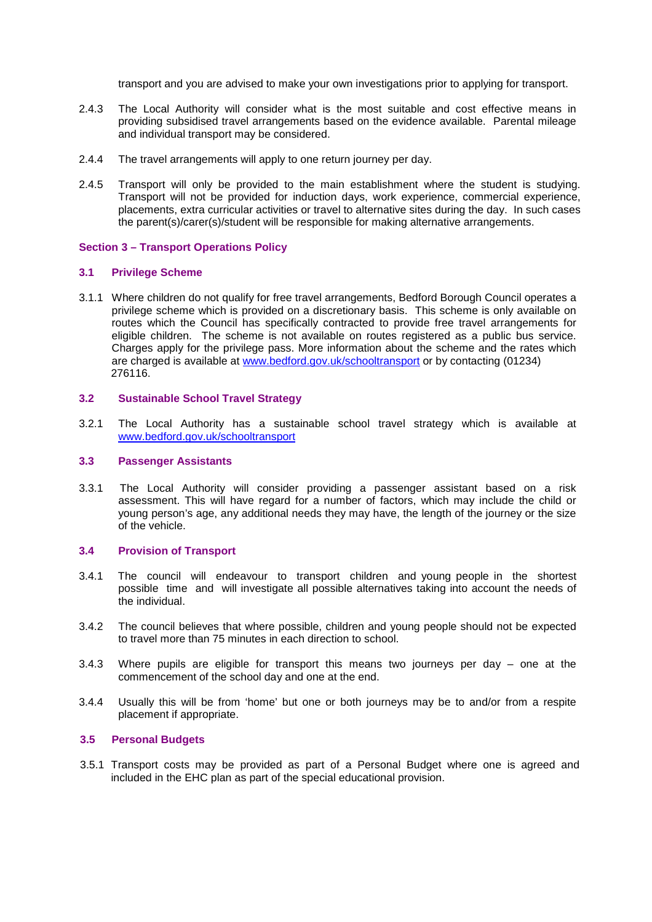transport and you are advised to make your own investigations prior to applying for transport.

- 2.4.3 The Local Authority will consider what is the most suitable and cost effective means in providing subsidised travel arrangements based on the evidence available. Parental mileage and individual transport may be considered.
- 2.4.4 The travel arrangements will apply to one return journey per day.
- 2.4.5 Transport will only be provided to the main establishment where the student is studying. Transport will not be provided for induction days, work experience, commercial experience, placements, extra curricular activities or travel to alternative sites during the day. In such cases the parent(s)/carer(s)/student will be responsible for making alternative arrangements.

## **Section 3 – Transport Operations Policy**

#### **3.1 Privilege Scheme**

3.1.1 Where children do not qualify for free travel arrangements, Bedford Borough Council operates a privilege scheme which is provided on a discretionary basis. This scheme is only available on routes which the Council has specifically contracted to provide free travel arrangements for eligible children. The scheme is not available on routes registered as a public bus service. Charges apply for the privilege pass. More information about the scheme and the rates which are charged is available at www.bedford.gov.uk/schooltransport or by contacting (01234) 276116.

## **3.2 Sustainable School Travel Strategy**

3.2.1 The Local Authority has a sustainable school travel strategy which is available at www.bedford.gov.uk/schooltransport

#### **3.3 Passenger Assistants**

3.3.1 The Local Authority will consider providing a passenger assistant based on a risk assessment. This will have regard for a number of factors, which may include the child or young person's age, any additional needs they may have, the length of the journey or the size of the vehicle.

#### **3.4 Provision of Transport**

- 3.4.1 The council will endeavour to transport children and young people in the shortest possible time and will investigate all possible alternatives taking into account the needs of the individual.
- 3.4.2 The council believes that where possible, children and young people should not be expected to travel more than 75 minutes in each direction to school.
- 3.4.3 Where pupils are eligible for transport this means two journeys per day one at the commencement of the school day and one at the end.
- 3.4.4 Usually this will be from 'home' but one or both journeys may be to and/or from a respite placement if appropriate.

#### **3.5 Personal Budgets**

3.5.1 Transport costs may be provided as part of a Personal Budget where one is agreed and included in the EHC plan as part of the special educational provision.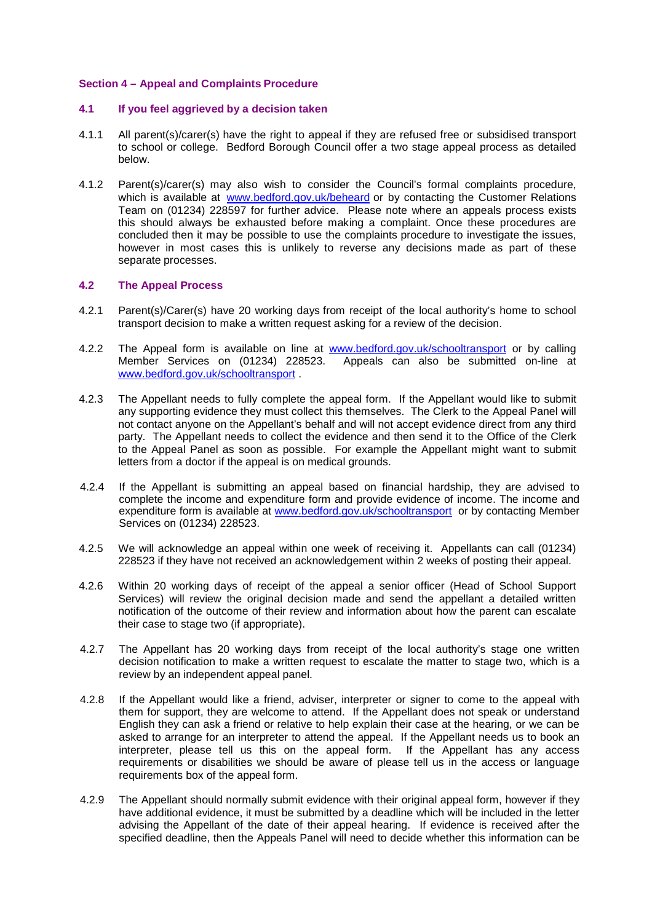## **Section 4 – Appeal and Complaints Procedure**

## **4.1 If you feel aggrieved by a decision taken**

- 4.1.1 All parent(s)/carer(s) have the right to appeal if they are refused free or subsidised transport to school or college. Bedford Borough Council offer a two stage appeal process as detailed below.
- 4.1.2 Parent(s)/carer(s) may also wish to consider the Council's formal complaints procedure, which is available at www.bedford.gov.uk/beheard or by contacting the Customer Relations Team on (01234) 228597 for further advice. Please note where an appeals process exists this should always be exhausted before making a complaint. Once these procedures are concluded then it may be possible to use the complaints procedure to investigate the issues, however in most cases this is unlikely to reverse any decisions made as part of these separate processes.

## **4.2 The Appeal Process**

- 4.2.1 Parent(s)/Carer(s) have 20 working days from receipt of the local authority's home to school transport decision to make a written request asking for a review of the decision.
- 4.2.2 The Appeal form is available on line at www.bedford.gov.uk/schooltransport or by calling Member Services on (01234) 228523. Appeals can also be submitted on-line at www.bedford.gov.uk/schooltransport .
- 4.2.3 The Appellant needs to fully complete the appeal form. If the Appellant would like to submit any supporting evidence they must collect this themselves. The Clerk to the Appeal Panel will not contact anyone on the Appellant's behalf and will not accept evidence direct from any third party. The Appellant needs to collect the evidence and then send it to the Office of the Clerk to the Appeal Panel as soon as possible. For example the Appellant might want to submit letters from a doctor if the appeal is on medical grounds.
- 4.2.4 If the Appellant is submitting an appeal based on financial hardship, they are advised to complete the income and expenditure form and provide evidence of income. The income and expenditure form is available at www.bedford.gov.uk/schooltransport or by contacting Member Services on (01234) 228523.
- 4.2.5 We will acknowledge an appeal within one week of receiving it. Appellants can call (01234) 228523 if they have not received an acknowledgement within 2 weeks of posting their appeal.
- 4.2.6 Within 20 working days of receipt of the appeal a senior officer (Head of School Support Services) will review the original decision made and send the appellant a detailed written notification of the outcome of their review and information about how the parent can escalate their case to stage two (if appropriate).
- 4.2.7 The Appellant has 20 working days from receipt of the local authority's stage one written decision notification to make a written request to escalate the matter to stage two, which is a review by an independent appeal panel.
- 4.2.8 If the Appellant would like a friend, adviser, interpreter or signer to come to the appeal with them for support, they are welcome to attend. If the Appellant does not speak or understand English they can ask a friend or relative to help explain their case at the hearing, or we can be asked to arrange for an interpreter to attend the appeal. If the Appellant needs us to book an interpreter, please tell us this on the appeal form. If the Appellant has any access requirements or disabilities we should be aware of please tell us in the access or language requirements box of the appeal form.
- 4.2.9 The Appellant should normally submit evidence with their original appeal form, however if they have additional evidence, it must be submitted by a deadline which will be included in the letter advising the Appellant of the date of their appeal hearing. If evidence is received after the specified deadline, then the Appeals Panel will need to decide whether this information can be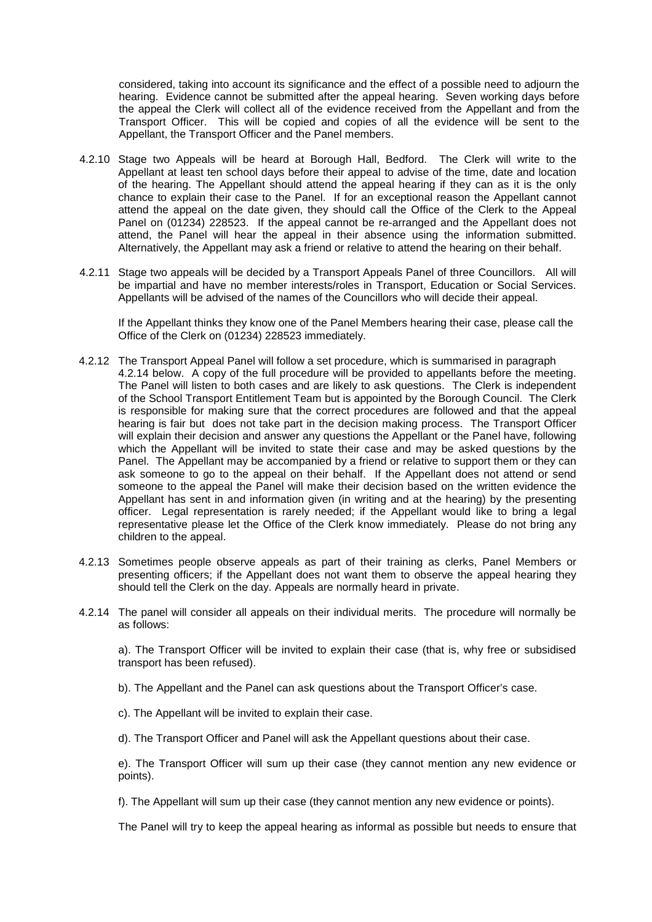considered, taking into account its significance and the effect of a possible need to adjourn the hearing. Evidence cannot be submitted after the appeal hearing. Seven working days before the appeal the Clerk will collect all of the evidence received from the Appellant and from the Transport Officer. This will be copied and copies of all the evidence will be sent to the Appellant, the Transport Officer and the Panel members.

- 4.2.10 Stage two Appeals will be heard at Borough Hall, Bedford. The Clerk will write to the Appellant at least ten school days before their appeal to advise of the time, date and location of the hearing. The Appellant should attend the appeal hearing if they can as it is the only chance to explain their case to the Panel. If for an exceptional reason the Appellant cannot attend the appeal on the date given, they should call the Office of the Clerk to the Appeal Panel on (01234) 228523. If the appeal cannot be re-arranged and the Appellant does not attend, the Panel will hear the appeal in their absence using the information submitted. Alternatively, the Appellant may ask a friend or relative to attend the hearing on their behalf.
- 4.2.11 Stage two appeals will be decided by a Transport Appeals Panel of three Councillors. All will be impartial and have no member interests/roles in Transport, Education or Social Services. Appellants will be advised of the names of the Councillors who will decide their appeal.

If the Appellant thinks they know one of the Panel Members hearing their case, please call the Office of the Clerk on (01234) 228523 immediately.

- 4.2.12 The Transport Appeal Panel will follow a set procedure, which is summarised in paragraph 4.2.14 below. A copy of the full procedure will be provided to appellants before the meeting. The Panel will listen to both cases and are likely to ask questions. The Clerk is independent of the School Transport Entitlement Team but is appointed by the Borough Council. The Clerk is responsible for making sure that the correct procedures are followed and that the appeal hearing is fair but does not take part in the decision making process. The Transport Officer will explain their decision and answer any questions the Appellant or the Panel have, following which the Appellant will be invited to state their case and may be asked questions by the Panel. The Appellant may be accompanied by a friend or relative to support them or they can ask someone to go to the appeal on their behalf. If the Appellant does not attend or send someone to the appeal the Panel will make their decision based on the written evidence the Appellant has sent in and information given (in writing and at the hearing) by the presenting officer. Legal representation is rarely needed; if the Appellant would like to bring a legal representative please let the Office of the Clerk know immediately. Please do not bring any children to the appeal.
- 4.2.13 Sometimes people observe appeals as part of their training as clerks, Panel Members or presenting officers; if the Appellant does not want them to observe the appeal hearing they should tell the Clerk on the day. Appeals are normally heard in private.
- 4.2.14 The panel will consider all appeals on their individual merits. The procedure will normally be as follows:

a). The Transport Officer will be invited to explain their case (that is, why free or subsidised transport has been refused).

- b). The Appellant and the Panel can ask questions about the Transport Officer's case.
- c). The Appellant will be invited to explain their case.
- d). The Transport Officer and Panel will ask the Appellant questions about their case.

e). The Transport Officer will sum up their case (they cannot mention any new evidence or points).

f). The Appellant will sum up their case (they cannot mention any new evidence or points).

The Panel will try to keep the appeal hearing as informal as possible but needs to ensure that